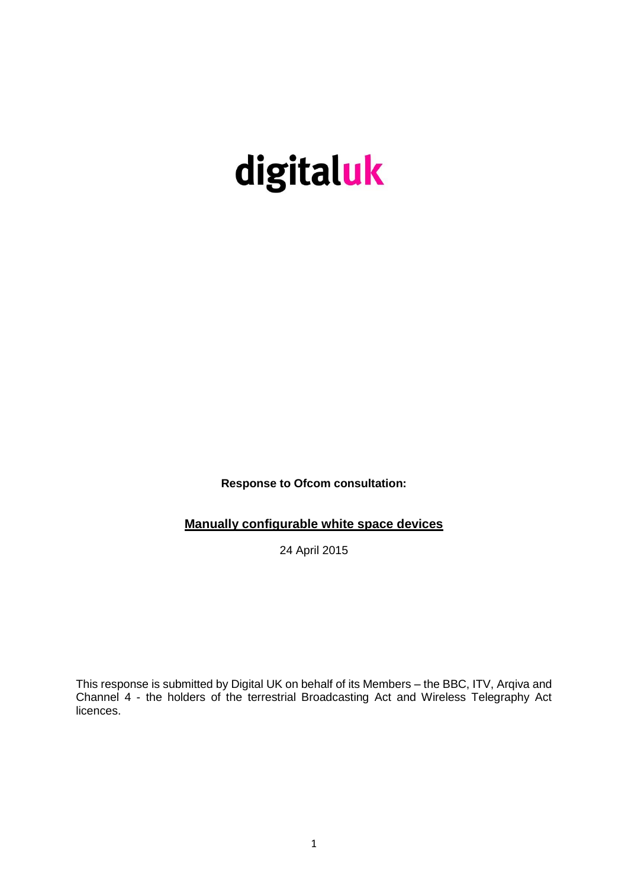# digitaluk

**Response to Ofcom consultation:**

**Manually configurable white space devices**

24 April 2015

This response is submitted by Digital UK on behalf of its Members – the BBC, ITV, Arqiva and Channel 4 - the holders of the terrestrial Broadcasting Act and Wireless Telegraphy Act licences.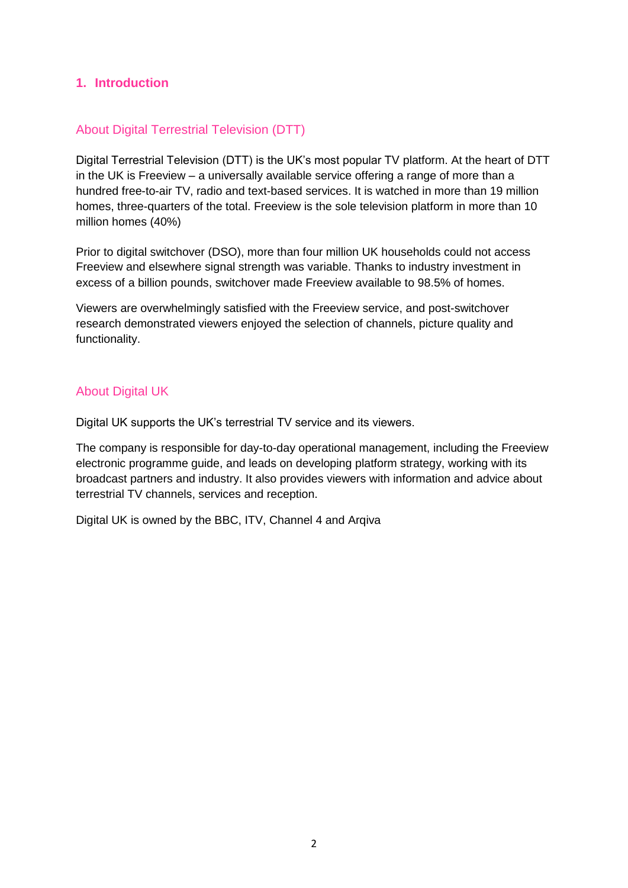# **1. Introduction**

# About Digital Terrestrial Television (DTT)

Digital Terrestrial Television (DTT) is the UK's most popular TV platform. At the heart of DTT in the UK is Freeview – a universally available service offering a range of more than a hundred free-to-air TV, radio and text-based services. It is watched in more than 19 million homes, three-quarters of the total. Freeview is the sole television platform in more than 10 million homes (40%)

Prior to digital switchover (DSO), more than four million UK households could not access Freeview and elsewhere signal strength was variable. Thanks to industry investment in excess of a billion pounds, switchover made Freeview available to 98.5% of homes.

Viewers are overwhelmingly satisfied with the Freeview service, and post-switchover research demonstrated viewers enjoyed the selection of channels, picture quality and functionality.

## About Digital UK

Digital UK supports the UK's terrestrial TV service and its viewers.

The company is responsible for day-to-day operational management, including the Freeview electronic programme guide, and leads on developing platform strategy, working with its broadcast partners and industry. It also provides viewers with information and advice about terrestrial TV channels, services and reception.

Digital UK is owned by the BBC, ITV, Channel 4 and Arqiva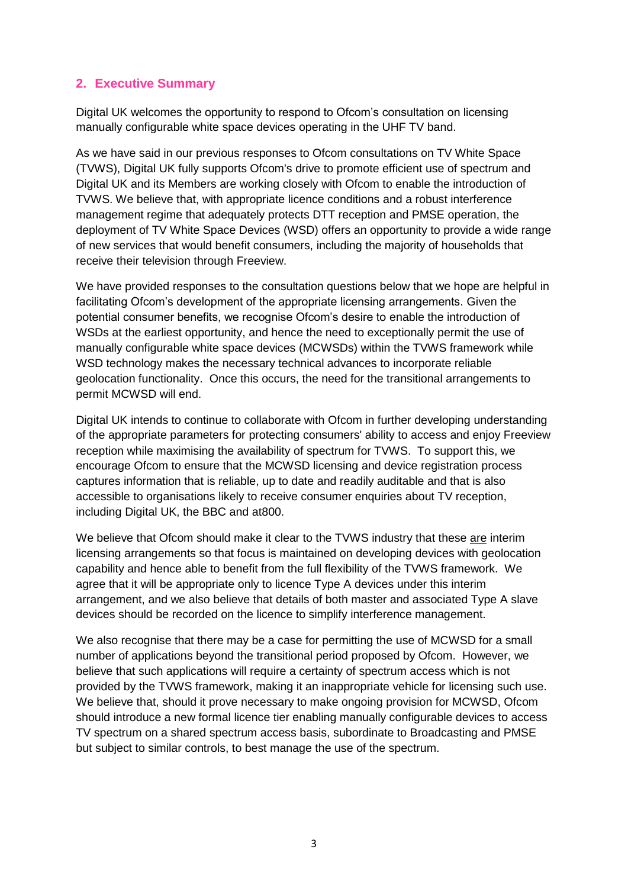# **2. Executive Summary**

Digital UK welcomes the opportunity to respond to Ofcom's consultation on licensing manually configurable white space devices operating in the UHF TV band.

As we have said in our previous responses to Ofcom consultations on TV White Space (TVWS), Digital UK fully supports Ofcom's drive to promote efficient use of spectrum and Digital UK and its Members are working closely with Ofcom to enable the introduction of TVWS. We believe that, with appropriate licence conditions and a robust interference management regime that adequately protects DTT reception and PMSE operation, the deployment of TV White Space Devices (WSD) offers an opportunity to provide a wide range of new services that would benefit consumers, including the majority of households that receive their television through Freeview.

We have provided responses to the consultation questions below that we hope are helpful in facilitating Ofcom's development of the appropriate licensing arrangements. Given the potential consumer benefits, we recognise Ofcom's desire to enable the introduction of WSDs at the earliest opportunity, and hence the need to exceptionally permit the use of manually configurable white space devices (MCWSDs) within the TVWS framework while WSD technology makes the necessary technical advances to incorporate reliable geolocation functionality. Once this occurs, the need for the transitional arrangements to permit MCWSD will end.

Digital UK intends to continue to collaborate with Ofcom in further developing understanding of the appropriate parameters for protecting consumers' ability to access and enjoy Freeview reception while maximising the availability of spectrum for TVWS. To support this, we encourage Ofcom to ensure that the MCWSD licensing and device registration process captures information that is reliable, up to date and readily auditable and that is also accessible to organisations likely to receive consumer enquiries about TV reception, including Digital UK, the BBC and at800.

We believe that Ofcom should make it clear to the TVWS industry that these are interim licensing arrangements so that focus is maintained on developing devices with geolocation capability and hence able to benefit from the full flexibility of the TVWS framework. We agree that it will be appropriate only to licence Type A devices under this interim arrangement, and we also believe that details of both master and associated Type A slave devices should be recorded on the licence to simplify interference management.

We also recognise that there may be a case for permitting the use of MCWSD for a small number of applications beyond the transitional period proposed by Ofcom. However, we believe that such applications will require a certainty of spectrum access which is not provided by the TVWS framework, making it an inappropriate vehicle for licensing such use. We believe that, should it prove necessary to make ongoing provision for MCWSD, Ofcom should introduce a new formal licence tier enabling manually configurable devices to access TV spectrum on a shared spectrum access basis, subordinate to Broadcasting and PMSE but subject to similar controls, to best manage the use of the spectrum.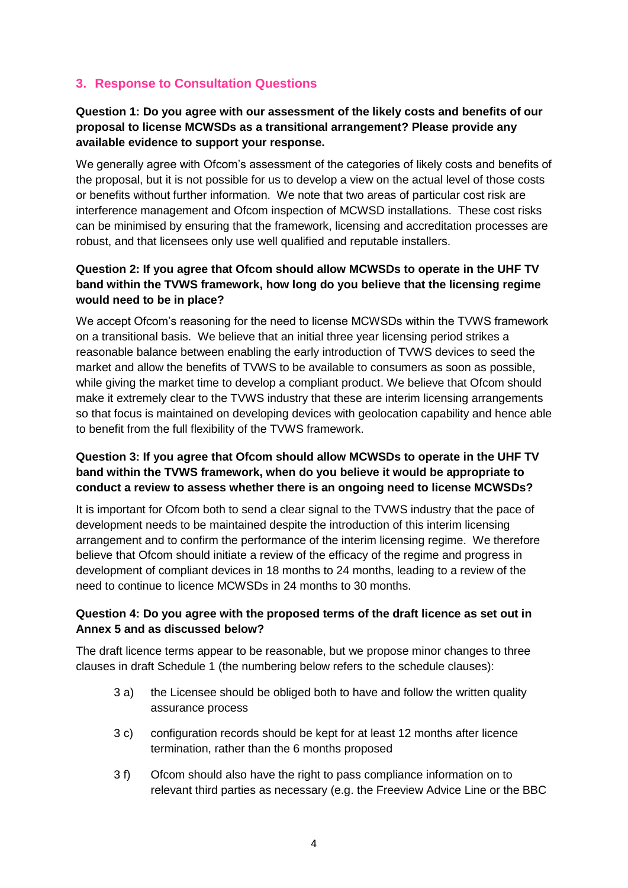# **3. Response to Consultation Questions**

# **Question 1: Do you agree with our assessment of the likely costs and benefits of our proposal to license MCWSDs as a transitional arrangement? Please provide any available evidence to support your response.**

We generally agree with Ofcom's assessment of the categories of likely costs and benefits of the proposal, but it is not possible for us to develop a view on the actual level of those costs or benefits without further information. We note that two areas of particular cost risk are interference management and Ofcom inspection of MCWSD installations. These cost risks can be minimised by ensuring that the framework, licensing and accreditation processes are robust, and that licensees only use well qualified and reputable installers.

# **Question 2: If you agree that Ofcom should allow MCWSDs to operate in the UHF TV band within the TVWS framework, how long do you believe that the licensing regime would need to be in place?**

We accept Ofcom's reasoning for the need to license MCWSDs within the TVWS framework on a transitional basis. We believe that an initial three year licensing period strikes a reasonable balance between enabling the early introduction of TVWS devices to seed the market and allow the benefits of TVWS to be available to consumers as soon as possible, while giving the market time to develop a compliant product. We believe that Ofcom should make it extremely clear to the TVWS industry that these are interim licensing arrangements so that focus is maintained on developing devices with geolocation capability and hence able to benefit from the full flexibility of the TVWS framework.

## **Question 3: If you agree that Ofcom should allow MCWSDs to operate in the UHF TV band within the TVWS framework, when do you believe it would be appropriate to conduct a review to assess whether there is an ongoing need to license MCWSDs?**

It is important for Ofcom both to send a clear signal to the TVWS industry that the pace of development needs to be maintained despite the introduction of this interim licensing arrangement and to confirm the performance of the interim licensing regime. We therefore believe that Ofcom should initiate a review of the efficacy of the regime and progress in development of compliant devices in 18 months to 24 months, leading to a review of the need to continue to licence MCWSDs in 24 months to 30 months.

## **Question 4: Do you agree with the proposed terms of the draft licence as set out in Annex 5 and as discussed below?**

The draft licence terms appear to be reasonable, but we propose minor changes to three clauses in draft Schedule 1 (the numbering below refers to the schedule clauses):

- 3 a) the Licensee should be obliged both to have and follow the written quality assurance process
- 3 c) configuration records should be kept for at least 12 months after licence termination, rather than the 6 months proposed
- 3 f) Ofcom should also have the right to pass compliance information on to relevant third parties as necessary (e.g. the Freeview Advice Line or the BBC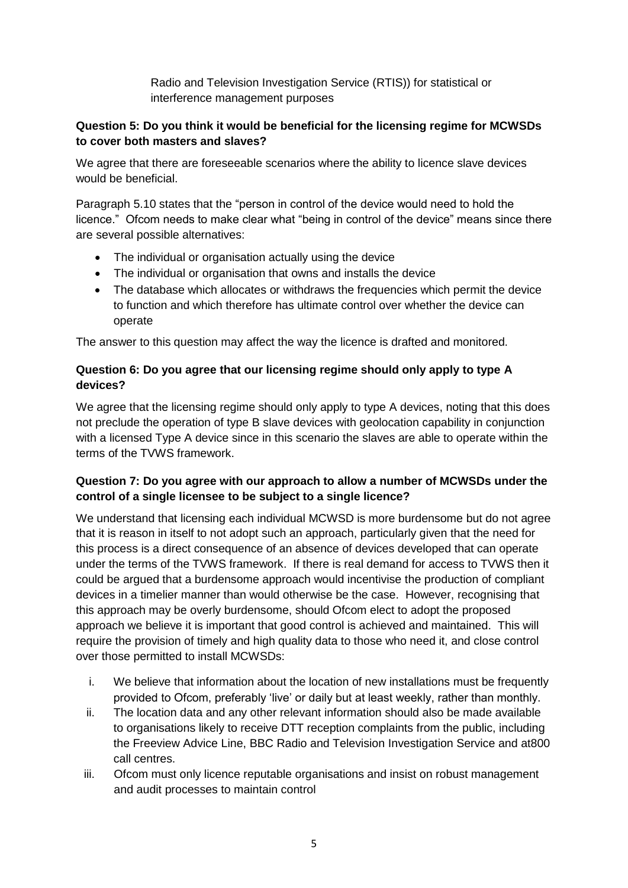Radio and Television Investigation Service (RTIS)) for statistical or interference management purposes

# **Question 5: Do you think it would be beneficial for the licensing regime for MCWSDs to cover both masters and slaves?**

We agree that there are foreseeable scenarios where the ability to licence slave devices would be beneficial.

Paragraph 5.10 states that the "person in control of the device would need to hold the licence." Ofcom needs to make clear what "being in control of the device" means since there are several possible alternatives:

- The individual or organisation actually using the device
- The individual or organisation that owns and installs the device
- The database which allocates or withdraws the frequencies which permit the device to function and which therefore has ultimate control over whether the device can operate

The answer to this question may affect the way the licence is drafted and monitored.

# **Question 6: Do you agree that our licensing regime should only apply to type A devices?**

We agree that the licensing regime should only apply to type A devices, noting that this does not preclude the operation of type B slave devices with geolocation capability in conjunction with a licensed Type A device since in this scenario the slaves are able to operate within the terms of the TVWS framework.

# **Question 7: Do you agree with our approach to allow a number of MCWSDs under the control of a single licensee to be subject to a single licence?**

We understand that licensing each individual MCWSD is more burdensome but do not agree that it is reason in itself to not adopt such an approach, particularly given that the need for this process is a direct consequence of an absence of devices developed that can operate under the terms of the TVWS framework. If there is real demand for access to TVWS then it could be argued that a burdensome approach would incentivise the production of compliant devices in a timelier manner than would otherwise be the case. However, recognising that this approach may be overly burdensome, should Ofcom elect to adopt the proposed approach we believe it is important that good control is achieved and maintained. This will require the provision of timely and high quality data to those who need it, and close control over those permitted to install MCWSDs:

- i. We believe that information about the location of new installations must be frequently provided to Ofcom, preferably 'live' or daily but at least weekly, rather than monthly.
- ii. The location data and any other relevant information should also be made available to organisations likely to receive DTT reception complaints from the public, including the Freeview Advice Line, BBC Radio and Television Investigation Service and at800 call centres.
- iii. Ofcom must only licence reputable organisations and insist on robust management and audit processes to maintain control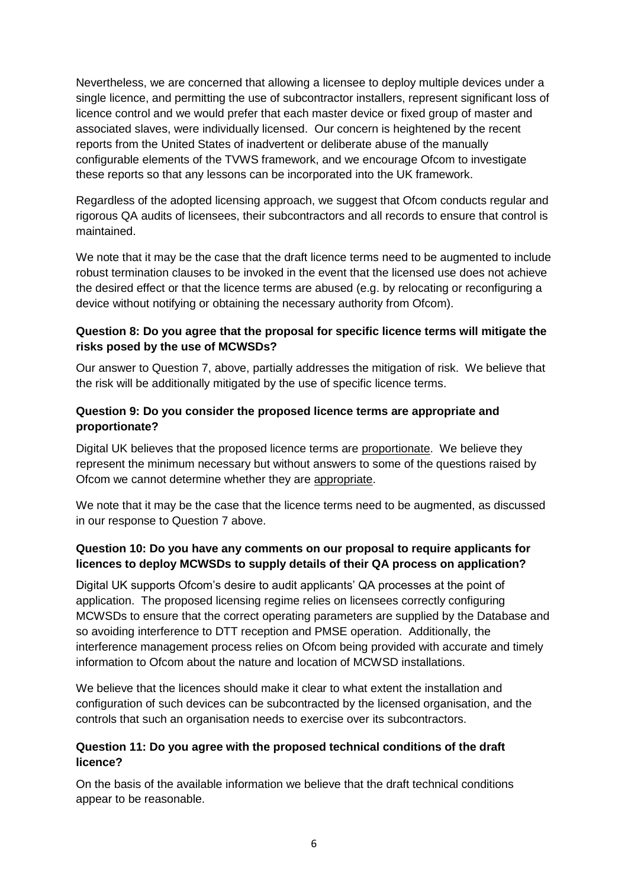Nevertheless, we are concerned that allowing a licensee to deploy multiple devices under a single licence, and permitting the use of subcontractor installers, represent significant loss of licence control and we would prefer that each master device or fixed group of master and associated slaves, were individually licensed. Our concern is heightened by the recent reports from the United States of inadvertent or deliberate abuse of the manually configurable elements of the TVWS framework, and we encourage Ofcom to investigate these reports so that any lessons can be incorporated into the UK framework.

Regardless of the adopted licensing approach, we suggest that Ofcom conducts regular and rigorous QA audits of licensees, their subcontractors and all records to ensure that control is maintained.

We note that it may be the case that the draft licence terms need to be augmented to include robust termination clauses to be invoked in the event that the licensed use does not achieve the desired effect or that the licence terms are abused (e.g. by relocating or reconfiguring a device without notifying or obtaining the necessary authority from Ofcom).

## **Question 8: Do you agree that the proposal for specific licence terms will mitigate the risks posed by the use of MCWSDs?**

Our answer to Question 7, above, partially addresses the mitigation of risk. We believe that the risk will be additionally mitigated by the use of specific licence terms.

## **Question 9: Do you consider the proposed licence terms are appropriate and proportionate?**

Digital UK believes that the proposed licence terms are proportionate. We believe they represent the minimum necessary but without answers to some of the questions raised by Ofcom we cannot determine whether they are appropriate.

We note that it may be the case that the licence terms need to be augmented, as discussed in our response to Question 7 above.

## **Question 10: Do you have any comments on our proposal to require applicants for licences to deploy MCWSDs to supply details of their QA process on application?**

Digital UK supports Ofcom's desire to audit applicants' QA processes at the point of application. The proposed licensing regime relies on licensees correctly configuring MCWSDs to ensure that the correct operating parameters are supplied by the Database and so avoiding interference to DTT reception and PMSE operation. Additionally, the interference management process relies on Ofcom being provided with accurate and timely information to Ofcom about the nature and location of MCWSD installations.

We believe that the licences should make it clear to what extent the installation and configuration of such devices can be subcontracted by the licensed organisation, and the controls that such an organisation needs to exercise over its subcontractors.

## **Question 11: Do you agree with the proposed technical conditions of the draft licence?**

On the basis of the available information we believe that the draft technical conditions appear to be reasonable.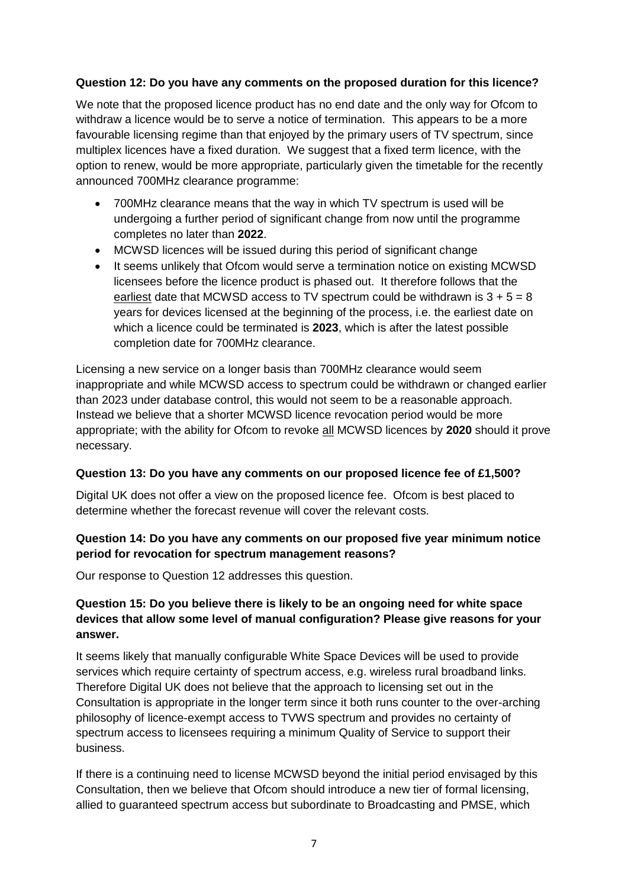## **Question 12: Do you have any comments on the proposed duration for this licence?**

We note that the proposed licence product has no end date and the only way for Ofcom to withdraw a licence would be to serve a notice of termination. This appears to be a more favourable licensing regime than that enjoyed by the primary users of TV spectrum, since multiplex licences have a fixed duration. We suggest that a fixed term licence, with the option to renew, would be more appropriate, particularly given the timetable for the recently announced 700MHz clearance programme:

- 700MHz clearance means that the way in which TV spectrum is used will be undergoing a further period of significant change from now until the programme completes no later than **2022**.
- MCWSD licences will be issued during this period of significant change
- It seems unlikely that Ofcom would serve a termination notice on existing MCWSD licensees before the licence product is phased out. It therefore follows that the earliest date that MCWSD access to TV spectrum could be withdrawn is  $3 + 5 = 8$ years for devices licensed at the beginning of the process, i.e. the earliest date on which a licence could be terminated is **2023**, which is after the latest possible completion date for 700MHz clearance.

Licensing a new service on a longer basis than 700MHz clearance would seem inappropriate and while MCWSD access to spectrum could be withdrawn or changed earlier than 2023 under database control, this would not seem to be a reasonable approach. Instead we believe that a shorter MCWSD licence revocation period would be more appropriate; with the ability for Ofcom to revoke all MCWSD licences by **2020** should it prove necessary.

#### **Question 13: Do you have any comments on our proposed licence fee of £1,500?**

Digital UK does not offer a view on the proposed licence fee. Ofcom is best placed to determine whether the forecast revenue will cover the relevant costs.

## **Question 14: Do you have any comments on our proposed five year minimum notice period for revocation for spectrum management reasons?**

Our response to Question 12 addresses this question.

## **Question 15: Do you believe there is likely to be an ongoing need for white space devices that allow some level of manual configuration? Please give reasons for your answer.**

It seems likely that manually configurable White Space Devices will be used to provide services which require certainty of spectrum access, e.g. wireless rural broadband links. Therefore Digital UK does not believe that the approach to licensing set out in the Consultation is appropriate in the longer term since it both runs counter to the over-arching philosophy of licence-exempt access to TVWS spectrum and provides no certainty of spectrum access to licensees requiring a minimum Quality of Service to support their business.

If there is a continuing need to license MCWSD beyond the initial period envisaged by this Consultation, then we believe that Ofcom should introduce a new tier of formal licensing, allied to guaranteed spectrum access but subordinate to Broadcasting and PMSE, which